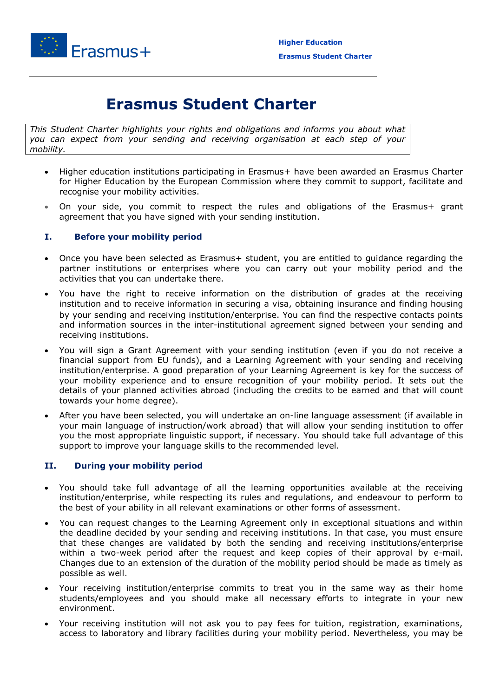

## **Erasmus Student Charter**

*This Student Charter highlights your rights and obligations and informs you about what you can expect from your sending and receiving organisation at each step of your mobility.*

- Higher education institutions participating in Erasmus+ have been awarded an Erasmus Charter for Higher Education by the European Commission where they commit to support, facilitate and recognise your mobility activities.
- On your side, you commit to respect the rules and obligations of the Erasmus+ grant agreement that you have signed with your sending institution.

## **I. Before your mobility period**

- Once you have been selected as Erasmus+ student, you are entitled to guidance regarding the partner institutions or enterprises where you can carry out your mobility period and the activities that you can undertake there.
- You have the right to receive information on the distribution of grades at the receiving institution and to receive information in securing a visa, obtaining insurance and finding housing by your sending and receiving institution/enterprise. You can find the respective contacts points and information sources in the inter-institutional agreement signed between your sending and receiving institutions.
- You will sign a Grant Agreement with your sending institution (even if you do not receive a financial support from EU funds), and a Learning Agreement with your sending and receiving institution/enterprise. A good preparation of your Learning Agreement is key for the success of your mobility experience and to ensure recognition of your mobility period. It sets out the details of your planned activities abroad (including the credits to be earned and that will count towards your home degree).
- After you have been selected, you will undertake an on-line language assessment (if available in your main language of instruction/work abroad) that will allow your sending institution to offer you the most appropriate linguistic support, if necessary. You should take full advantage of this support to improve your language skills to the recommended level.

## **II. During your mobility period**

- You should take full advantage of all the learning opportunities available at the receiving institution/enterprise, while respecting its rules and regulations, and endeavour to perform to the best of your ability in all relevant examinations or other forms of assessment.
- You can request changes to the Learning Agreement only in exceptional situations and within the deadline decided by your sending and receiving institutions. In that case, you must ensure that these changes are validated by both the sending and receiving institutions/enterprise within a two-week period after the request and keep copies of their approval by e-mail. Changes due to an extension of the duration of the mobility period should be made as timely as possible as well.
- Your receiving institution/enterprise commits to treat you in the same way as their home students/employees and you should make all necessary efforts to integrate in your new environment.
- Your receiving institution will not ask you to pay fees for tuition, registration, examinations, access to laboratory and library facilities during your mobility period. Nevertheless, you may be